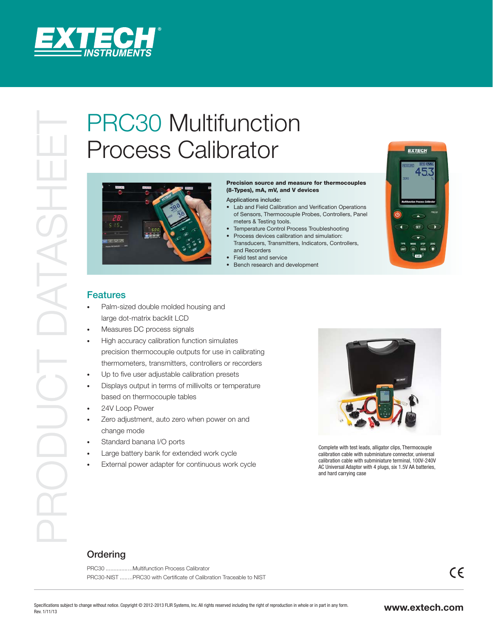

## Process Calibrator



## Precision source and measure for thermocouples (8-Types), mA, mV, and V devices

Applications include:

- Lab and Field Calibration and Verification Operations of Sensors, Thermocouple Probes, Controllers, Panel meters & Testing tools.
- Temperature Control Process Troubleshooting
- Process devices calibration and simulation: Transducers, Transmitters, Indicators, Controllers, and Recorders
- Field test and service
- Bench research and development



## Features

- Palm-sized double molded housing and large dot-matrix backlit LCD
- Measures DC process signals
- High accuracy calibration function simulates precision thermocouple outputs for use in calibrating thermometers, transmitters, controllers or recorders
- Up to five user adjustable calibration presets
- Displays output in terms of millivolts or temperature based on thermocouple tables
- 24V Loop Power
- Zero adjustment, auto zero when power on and change mode
- Standard banana I/O ports
- Large battery bank for extended work cycle
- External power adapter for continuous work cycle



 Complete with test leads, alligator clips, Thermocouple calibration cable with subminiature connector, universal calibration cable with subminiature terminal, 100V-240V AC Universal Adaptor with 4 plugs, six 1.5V AA batteries, and hard carrying case

## **Ordering**

PRC30 ................. Multifunction Process Calibrator PRC30-NIST ........PRC30 with Certificate of Calibration Traceable to NIST  $\epsilon$